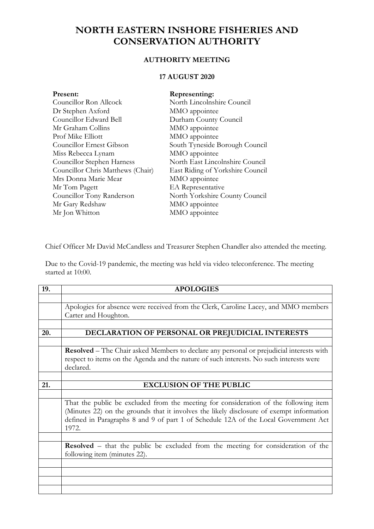## **NORTH EASTERN INSHORE FISHERIES AND CONSERVATION AUTHORITY**

## **AUTHORITY MEETING**

## **17 AUGUST 2020**

| Present:                          | Representing:                    |
|-----------------------------------|----------------------------------|
| Councillor Ron Allcock            | North Lincolnshire Council       |
| Dr Stephen Axford                 | MMO appointee                    |
| Councillor Edward Bell            | Durham County Council            |
| Mr Graham Collins                 | MMO appointee                    |
| Prof Mike Elliott                 | MMO appointee                    |
| Councillor Ernest Gibson          | South Tyneside Borough Council   |
| Miss Rebecca Lynam                | MMO appointee                    |
| Councillor Stephen Harness        | North East Lincolnshire Council  |
| Councillor Chris Matthews (Chair) | East Riding of Yorkshire Council |
| Mrs Donna Marie Mear              | MMO appointee                    |
| Mr Tom Pagett                     | <b>EA</b> Representative         |
| Councillor Tony Randerson         | North Yorkshire County Council   |
| Mr Gary Redshaw                   | MMO appointee                    |
| Mr Jon Whitton                    | MMO appointee                    |
|                                   |                                  |

Chief Officer Mr David McCandless and Treasurer Stephen Chandler also attended the meeting.

Due to the Covid-19 pandemic, the meeting was held via video teleconference. The meeting started at 10:00.

| 19. | <b>APOLOGIES</b>                                                                             |  |
|-----|----------------------------------------------------------------------------------------------|--|
|     |                                                                                              |  |
|     | Apologies for absence were received from the Clerk, Caroline Lacey, and MMO members          |  |
|     | Carter and Houghton.                                                                         |  |
|     |                                                                                              |  |
| 20. | DECLARATION OF PERSONAL OR PREJUDICIAL INTERESTS                                             |  |
|     |                                                                                              |  |
|     | Resolved - The Chair asked Members to declare any personal or prejudicial interests with     |  |
|     | respect to items on the Agenda and the nature of such interests. No such interests were      |  |
|     | declared.                                                                                    |  |
|     |                                                                                              |  |
| 21. | <b>EXCLUSION OF THE PUBLIC</b>                                                               |  |
|     |                                                                                              |  |
|     | That the public be excluded from the meeting for consideration of the following item         |  |
|     | (Minutes 22) on the grounds that it involves the likely disclosure of exempt information     |  |
|     | defined in Paragraphs 8 and 9 of part 1 of Schedule 12A of the Local Government Act<br>1972. |  |
|     |                                                                                              |  |
|     | <b>Resolved</b> – that the public be excluded from the meeting for consideration of the      |  |
|     | following item (minutes 22).                                                                 |  |
|     |                                                                                              |  |
|     |                                                                                              |  |
|     |                                                                                              |  |
|     |                                                                                              |  |
|     |                                                                                              |  |